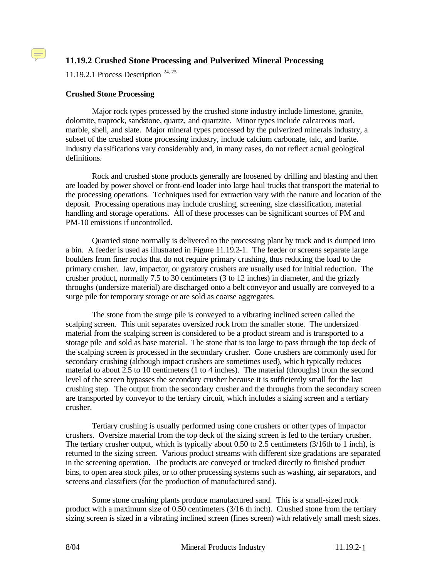# **11.19.2 Crushed Stone Processing and Pulverized Mineral Processing**

11.19.2.1 Process Description  $24, 25$ 

#### **Crushed Stone Processing**

 $\left(\equiv\right)$ 

Major rock types processed by the crushed stone industry include limestone, granite, dolomite, traprock, sandstone, quartz, and quartzite. Minor types include calcareous marl, marble, shell, and slate. Major mineral types processed by the pulverized minerals industry, a subset of the crushed stone processing industry, include calcium carbonate, talc, and barite. Industry classifications vary considerably and, in many cases, do not reflect actual geological definitions.

Rock and crushed stone products generally are loosened by drilling and blasting and then are loaded by power shovel or front-end loader into large haul trucks that transport the material to the processing operations. Techniques used for extraction vary with the nature and location of the deposit. Processing operations may include crushing, screening, size classification, material handling and storage operations. All of these processes can be significant sources of PM and PM-10 emissions if uncontrolled.

Quarried stone normally is delivered to the processing plant by truck and is dumped into a bin. A feeder is used as illustrated in Figure 11.19.2-1. The feeder or screens separate large boulders from finer rocks that do not require primary crushing, thus reducing the load to the primary crusher. Jaw, impactor, or gyratory crushers are usually used for initial reduction. The crusher product, normally 7.5 to 30 centimeters (3 to 12 inches) in diameter, and the grizzly throughs (undersize material) are discharged onto a belt conveyor and usually are conveyed to a surge pile for temporary storage or are sold as coarse aggregates.

The stone from the surge pile is conveyed to a vibrating inclined screen called the scalping screen. This unit separates oversized rock from the smaller stone. The undersized material from the scalping screen is considered to be a product stream and is transported to a storage pile and sold as base material. The stone that is too large to pass through the top deck of the scalping screen is processed in the secondary crusher. Cone crushers are commonly used for secondary crushing (although impact crushers are sometimes used), which typically reduces material to about 2.5 to 10 centimeters (1 to 4 inches). The material (throughs) from the second level of the screen bypasses the secondary crusher because it is sufficiently small for the last crushing step. The output from the secondary crusher and the throughs from the secondary screen are transported by conveyor to the tertiary circuit, which includes a sizing screen and a tertiary crusher.

Tertiary crushing is usually performed using cone crushers or other types of impactor crushers. Oversize material from the top deck of the sizing screen is fed to the tertiary crusher. The tertiary crusher output, which is typically about 0.50 to 2.5 centimeters (3/16th to 1 inch), is returned to the sizing screen. Various product streams with different size gradations are separated in the screening operation. The products are conveyed or trucked directly to finished product bins, to open area stock piles, or to other processing systems such as washing, air separators, and screens and classifiers (for the production of manufactured sand).

Some stone crushing plants produce manufactured sand. This is a small-sized rock product with a maximum size of 0.50 centimeters (3/16 th inch). Crushed stone from the tertiary sizing screen is sized in a vibrating inclined screen (fines screen) with relatively small mesh sizes.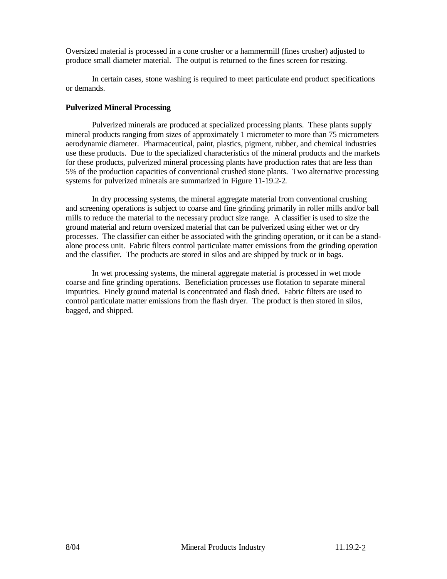Oversized material is processed in a cone crusher or a hammermill (fines crusher) adjusted to produce small diameter material. The output is returned to the fines screen for resizing.

In certain cases, stone washing is required to meet particulate end product specifications or demands.

#### **Pulverized Mineral Processing**

Pulverized minerals are produced at specialized processing plants. These plants supply mineral products ranging from sizes of approximately 1 micrometer to more than 75 micrometers aerodynamic diameter. Pharmaceutical, paint, plastics, pigment, rubber, and chemical industries use these products. Due to the specialized characteristics of the mineral products and the markets for these products, pulverized mineral processing plants have production rates that are less than 5% of the production capacities of conventional crushed stone plants. Two alternative processing systems for pulverized minerals are summarized in Figure 11-19.2-2.

In dry processing systems, the mineral aggregate material from conventional crushing and screening operations is subject to coarse and fine grinding primarily in roller mills and/or ball mills to reduce the material to the necessary product size range. A classifier is used to size the ground material and return oversized material that can be pulverized using either wet or dry processes. The classifier can either be associated with the grinding operation, or it can be a standalone process unit. Fabric filters control particulate matter emissions from the grinding operation and the classifier. The products are stored in silos and are shipped by truck or in bags.

In wet processing systems, the mineral aggregate material is processed in wet mode coarse and fine grinding operations. Beneficiation processes use flotation to separate mineral impurities. Finely ground material is concentrated and flash dried. Fabric filters are used to control particulate matter emissions from the flash dryer. The product is then stored in silos, bagged, and shipped.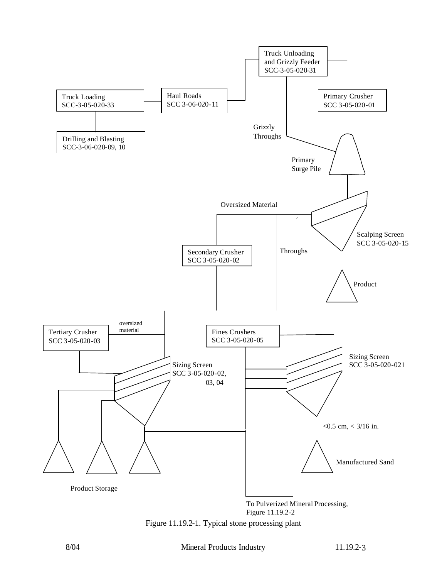

Figure 11.19.2-1. Typical stone processing plant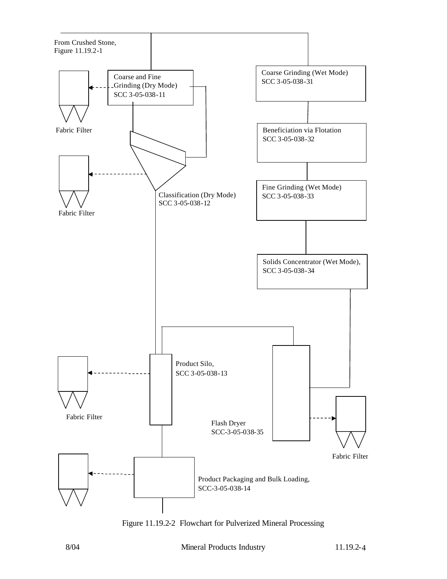

Figure 11.19.2-2 Flowchart for Pulverized Mineral Processing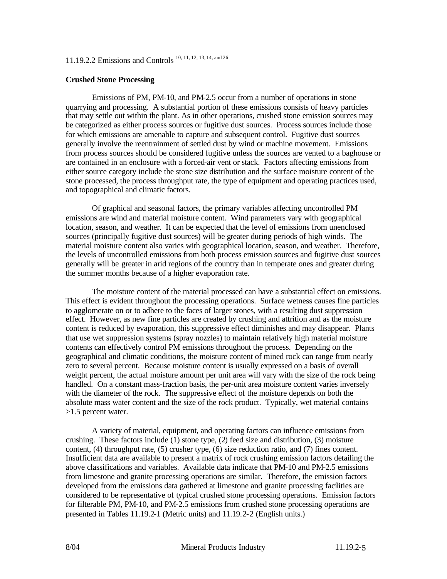# 11.19.2.2 Emissions and Controls 10, 11, 12, 13, 14, and 26

#### **Crushed Stone Processing**

Emissions of PM, PM-10, and PM-2.5 occur from a number of operations in stone quarrying and processing. A substantial portion of these emissions consists of heavy particles that may settle out within the plant. As in other operations, crushed stone emission sources may be categorized as either process sources or fugitive dust sources. Process sources include those for which emissions are amenable to capture and subsequent control. Fugitive dust sources generally involve the reentrainment of settled dust by wind or machine movement. Emissions from process sources should be considered fugitive unless the sources are vented to a baghouse or are contained in an enclosure with a forced-air vent or stack. Factors affecting emissions from either source category include the stone size distribution and the surface moisture content of the stone processed, the process throughput rate, the type of equipment and operating practices used, and topographical and climatic factors.

Of graphical and seasonal factors, the primary variables affecting uncontrolled PM emissions are wind and material moisture content. Wind parameters vary with geographical location, season, and weather. It can be expected that the level of emissions from unenclosed sources (principally fugitive dust sources) will be greater during periods of high winds. The material moisture content also varies with geographical location, season, and weather. Therefore, the levels of uncontrolled emissions from both process emission sources and fugitive dust sources generally will be greater in arid regions of the country than in temperate ones and greater during the summer months because of a higher evaporation rate.

The moisture content of the material processed can have a substantial effect on emissions. This effect is evident throughout the processing operations. Surface wetness causes fine particles to agglomerate on or to adhere to the faces of larger stones, with a resulting dust suppression effect. However, as new fine particles are created by crushing and attrition and as the moisture content is reduced by evaporation, this suppressive effect diminishes and may disappear. Plants that use wet suppression systems (spray nozzles) to maintain relatively high material moisture contents can effectively control PM emissions throughout the process. Depending on the geographical and climatic conditions, the moisture content of mined rock can range from nearly zero to several percent. Because moisture content is usually expressed on a basis of overall weight percent, the actual moisture amount per unit area will vary with the size of the rock being handled. On a constant mass-fraction basis, the per-unit area moisture content varies inversely with the diameter of the rock. The suppressive effect of the moisture depends on both the absolute mass water content and the size of the rock product. Typically, wet material contains >1.5 percent water.

A variety of material, equipment, and operating factors can influence emissions from crushing. These factors include (1) stone type, (2) feed size and distribution, (3) moisture content, (4) throughput rate, (5) crusher type, (6) size reduction ratio, and (7) fines content. Insufficient data are available to present a matrix of rock crushing emission factors detailing the above classifications and variables. Available data indicate that PM-10 and PM-2.5 emissions from limestone and granite processing operations are similar. Therefore, the emission factors developed from the emissions data gathered at limestone and granite processing facilities are considered to be representative of typical crushed stone processing operations. Emission factors for filterable PM, PM-10, and PM-2.5 emissions from crushed stone processing operations are presented in Tables 11.19.2-1 (Metric units) and 11.19.2-2 (English units.)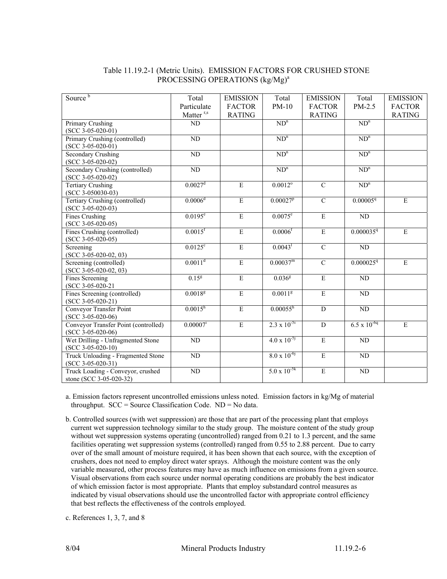### Table 11.19.2-1 (Metric Units). EMISSION FACTORS FOR CRUSHED STONE PROCESSING OPERATIONS (kg/Mg)<sup>a</sup>

| Source <sup>b</sup>                                      | Total                 | <b>EMISSION</b>         | Total                 | <b>EMISSION</b>         | Total                 | <b>EMISSION</b>         |
|----------------------------------------------------------|-----------------------|-------------------------|-----------------------|-------------------------|-----------------------|-------------------------|
|                                                          | Particulate           | <b>FACTOR</b>           | $PM-10$               | <b>FACTOR</b>           | PM-2.5                | <b>FACTOR</b>           |
|                                                          | Matter <sup>r,s</sup> | <b>RATING</b>           |                       | <b>RATING</b>           |                       | <b>RATING</b>           |
| Primary Crushing                                         | ND                    |                         | $ND^n$                |                         | $ND^n$                |                         |
| $(SCC 3-05-020-01)$                                      |                       |                         |                       |                         |                       |                         |
| Primary Crushing (controlled)                            | ND                    |                         | $ND^n$                |                         | $ND^n$                |                         |
| $(SCC 3-05-020-01)$                                      |                       |                         |                       |                         |                       |                         |
| <b>Secondary Crushing</b>                                | $\overline{ND}$       |                         | $ND^n$                |                         | $ND^n$                |                         |
| $(SCC 3-05-020-02)$<br>Secondary Crushing (controlled)   | $\overline{ND}$       |                         | $ND^n$                |                         | $ND^n$                |                         |
| $(SCC 3-05-020-02)$                                      |                       |                         |                       |                         |                       |                         |
| <b>Tertiary Crushing</b>                                 | $0.0027$ <sup>d</sup> | $\mathbf E$             | $0.0012^{\circ}$      | $\overline{C}$          | $ND^n$                |                         |
| $(SCC 3-050030-03)$                                      |                       |                         |                       |                         |                       |                         |
| Tertiary Crushing (controlled)                           | 0.0006 <sup>d</sup>   | $\overline{E}$          | $0.00027^p$           | $\overline{C}$          | 0.000059              | E                       |
| $(SCC 3-05-020-03)$                                      |                       |                         |                       |                         |                       |                         |
| <b>Fines Crushing</b>                                    | $0.0195^e$            | $\overline{E}$          | $0.0075^e$            | $\overline{\mathrm{E}}$ | ND                    |                         |
| $(SCC 3-05-020-05)$                                      |                       | $\overline{E}$          |                       |                         |                       |                         |
| Fines Crushing (controlled)                              | $0.0015$ <sup>f</sup> |                         | $0.0006$ <sup>f</sup> | $\overline{\mathrm{E}}$ | 0.0000359             | E                       |
| $(SCC 3-05-020-05)$<br>Screening                         | $0.0125$ <sup>c</sup> | $\overline{E}$          | $0.0043$ <sup>1</sup> | $\overline{C}$          | ND                    |                         |
| $(SCC 3-05-020-02, 03)$                                  |                       |                         |                       |                         |                       |                         |
| Screening (controlled)                                   | $0.0011^d$            | $\overline{E}$          | 0.00037 <sup>m</sup>  | $\overline{C}$          | 0.0000259             | E                       |
| $(SCC 3-05-020-02, 03)$                                  |                       |                         |                       |                         |                       |                         |
| Fines Screening                                          | 0.15 <sup>g</sup>     | $\overline{E}$          | $0.036^{8}$           | $\overline{\mathrm{E}}$ | ND                    |                         |
| (SCC 3-05-020-21                                         |                       |                         |                       |                         |                       |                         |
| Fines Screening (controlled)                             | $0.0018^{g}$          | $\overline{E}$          | $0.0011^{8}$          | $\overline{\mathrm{E}}$ | ND                    |                         |
| $(SCC 3-05-020-21)$                                      |                       |                         |                       |                         |                       |                         |
| Conveyor Transfer Point                                  | $0.0015^{h}$          | $\overline{\mathrm{E}}$ | $0.00055^h$           | ${\bf D}$               | ND                    |                         |
| $(SCC 3-05-020-06)$                                      |                       |                         |                       |                         |                       |                         |
| Conveyor Transfer Point (controlled)                     | $0.00007^i$           | $\overline{\mathrm{E}}$ | $2.3 \times 10^{-5i}$ | $\overline{D}$          | $6.5 \times 10^{-6q}$ | $\overline{\mathrm{E}}$ |
| $(SCC 3-05-020-06)$                                      |                       |                         |                       |                         |                       |                         |
| Wet Drilling - Unfragmented Stone<br>$(SCC 3-05-020-10)$ | $\overline{ND}$       |                         | $4.0 \times 10^{-5}$  | $\overline{\mathrm{E}}$ | $\overline{ND}$       |                         |
| Truck Unloading - Fragmented Stone                       | $\rm ND$              |                         | $8.0 \times 10^{-6}$  | $\overline{\mathrm{E}}$ | ND                    |                         |
| $(SCC 3-05-020-31)$                                      |                       |                         |                       |                         |                       |                         |
| Truck Loading - Conveyor, crushed                        | $\overline{ND}$       |                         | $5.0 \times 10^{-5k}$ | $\mathbf E$             | ND                    |                         |
| stone (SCC 3-05-020-32)                                  |                       |                         |                       |                         |                       |                         |

a. Emission factors represent uncontrolled emissions unless noted. Emission factors in kg/Mg of material throughput.  $SCC = Source Classification Code$ .  $ND = No data$ .

b. Controlled sources (with wet suppression) are those that are part of the processing plant that employs current wet suppression technology similar to the study group. The moisture content of the study group without wet suppression systems operating (uncontrolled) ranged from 0.21 to 1.3 percent, and the same facilities operating wet suppression systems (controlled) ranged from 0.55 to 2.88 percent. Due to carry over of the small amount of moisture required, it has been shown that each source, with the exception of crushers, does not need to employ direct water sprays. Although the moisture content was the only variable measured, other process features may have as much influence on emissions from a given source. Visual observations from each source under normal operating conditions are probably the best indicator of which emission factor is most appropriate. Plants that employ substandard control measures as indicated by visual observations should use the uncontrolled factor with appropriate control efficiency that best reflects the effectiveness of the controls employed.

c. References 1, 3, 7, and 8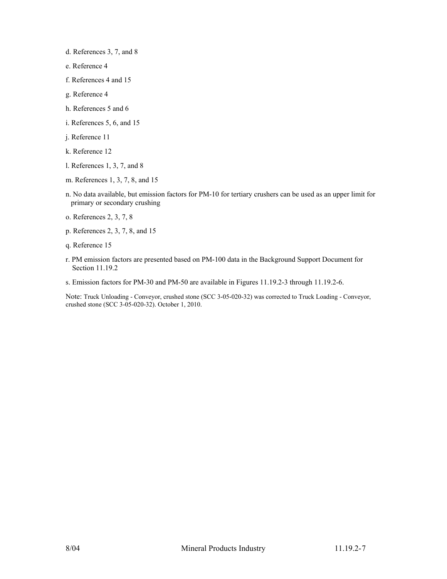d. References 3, 7, and 8

- e. Reference 4
- f. References 4 and 15
- g. Reference 4
- h. References 5 and 6
- i. References 5, 6, and 15
- j. Reference 11
- k. Reference 12
- l. References 1, 3, 7, and 8
- m. References 1, 3, 7, 8, and 15
- n. No data available, but emission factors for PM-10 for tertiary crushers can be used as an upper limit for primary or secondary crushing
- o. References 2, 3, 7, 8
- p. References 2, 3, 7, 8, and 15
- q. Reference 15
- r. PM emission factors are presented based on PM-100 data in the Background Support Document for Section 11.19.2
- s. Emission factors for PM-30 and PM-50 are available in Figures 11.19.2-3 through 11.19.2-6.

Note: Truck Unloading - Conveyor, crushed stone (SCC 3-05-020-32) was corrected to Truck Loading - Conveyor, crushed stone (SCC 3-05-020-32). October 1, 2010.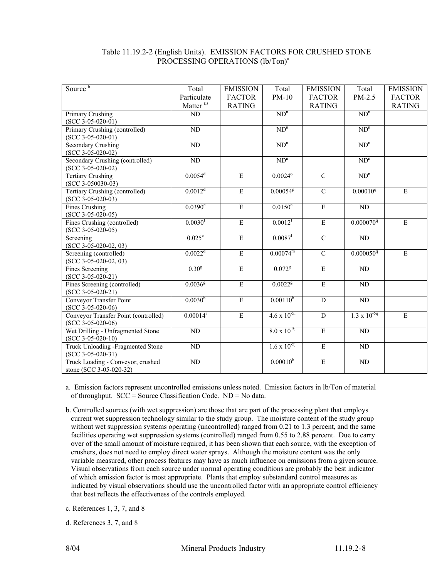### Table 11.19.2-2 (English Units). EMISSION FACTORS FOR CRUSHED STONE PROCESSING OPERATIONS (lb/Ton)<sup>a</sup>

| Source <sup>b</sup>                          | Total                 | <b>EMISSION</b>         | Total                 | <b>EMISSION</b>         | Total                 | <b>EMISSION</b> |
|----------------------------------------------|-----------------------|-------------------------|-----------------------|-------------------------|-----------------------|-----------------|
|                                              | Particulate           | <b>FACTOR</b>           | $PM-10$               | <b>FACTOR</b>           | PM-2.5                | <b>FACTOR</b>   |
|                                              | Matter <sup>r,s</sup> | <b>RATING</b>           |                       | <b>RATING</b>           |                       | <b>RATING</b>   |
| Primary Crushing                             | ND                    |                         | ND <sup>n</sup>       |                         | $ND^n$                |                 |
| $(SCC 3-05-020-01)$                          |                       |                         |                       |                         |                       |                 |
| Primary Crushing (controlled)                | $\overline{ND}$       |                         | $ND^n$                |                         | $ND^n$                |                 |
| $(SCC 3-05-020-01)$                          |                       |                         |                       |                         |                       |                 |
| <b>Secondary Crushing</b>                    | ND                    |                         | $ND^n$                |                         | $ND^n$                |                 |
| $(SCC 3-05-020-02)$                          |                       |                         |                       |                         |                       |                 |
| Secondary Crushing (controlled)              | ND                    |                         | $ND^n$                |                         | $ND^n$                |                 |
| $(SCC 3-05-020-02)$                          |                       |                         |                       |                         |                       |                 |
| <b>Tertiary Crushing</b>                     | $0.0054$ <sup>d</sup> | E                       | $0.0024^{\circ}$      | $\overline{C}$          | $ND^n$                |                 |
| $(SCC 3-050030-03)$                          |                       |                         |                       |                         |                       |                 |
| Tertiary Crushing (controlled)               | 0.0012 <sup>d</sup>   | $\overline{E}$          | $0.00054^{p}$         | $\overline{C}$          | $0.00010^{q}$         | $\mathbf E$     |
| $(SCC 3-05-020-03)$                          | $0.0390^e$            | $\overline{E}$          | $0.0150^e$            | $\overline{E}$          | ND                    |                 |
| <b>Fines Crushing</b><br>$(SCC 3-05-020-05)$ |                       |                         |                       |                         |                       |                 |
| Fines Crushing (controlled)                  | $0.0030$ <sup>f</sup> | $\mathbf E$             | 0.0012 <sup>f</sup>   | $\overline{\mathrm{E}}$ | 0.000070 <sup>q</sup> | $\mathbf E$     |
| $(SCC 3-05-020-05)$                          |                       |                         |                       |                         |                       |                 |
| Screening                                    | 0.025c                | $\overline{E}$          | $0.0087$ <sup>1</sup> | $\overline{C}$          | $\overline{ND}$       |                 |
| $(SCC 3-05-020-02, 03)$                      |                       |                         |                       |                         |                       |                 |
| Screening (controlled)                       | 0.0022 <sup>d</sup>   | $\overline{E}$          | $0.00074^m$           | $\overline{C}$          | 0.000050 <sup>q</sup> | $\mathbf E$     |
| $(SCC 3-05-020-02, 03)$                      |                       |                         |                       |                         |                       |                 |
| Fines Screening                              | 0.30 <sup>g</sup>     | $\mathbf E$             | $0.072$ <sup>g</sup>  | $\overline{E}$          | ND                    |                 |
| $(SCC 3-05-020-21)$                          |                       |                         |                       |                         |                       |                 |
| Fines Screening (controlled)                 | $0.0036^{8}$          | $\mathbf E$             | $0.0022^{8}$          | $\mathbf E$             | $\overline{ND}$       |                 |
| $(SCC 3-05-020-21)$                          |                       |                         |                       |                         |                       |                 |
| Conveyor Transfer Point                      | $0.0030^{h}$          | $\overline{\mathrm{E}}$ | $0.00110^{h}$         | $\overline{D}$          | $\rm ND$              |                 |
| $(SCC 3-05-020-06)$                          |                       |                         |                       |                         |                       |                 |
| Conveyor Transfer Point (controlled)         | $0.00014^{i}$         | $\mathbf E$             | $4.6 \times 10^{-5i}$ | D                       | $1.3 \times 10^{-5q}$ | E               |
| $(SCC 3-05-020-06)$                          |                       |                         |                       |                         |                       |                 |
| Wet Drilling - Unfragmented Stone            | $\rm ND$              |                         | $8.0 \times 10^{-5}$  | $\overline{\mathrm{E}}$ | ND                    |                 |
| $(SCC 3-05-020-10)$                          |                       |                         |                       |                         |                       |                 |
| Truck Unloading -Fragmented Stone            | $\overline{ND}$       |                         | $1.6 \times 10^{-5}$  | $\overline{E}$          | $\overline{ND}$       |                 |
| $(SCC 3-05-020-31)$                          |                       |                         |                       |                         |                       |                 |
| Truck Loading - Conveyor, crushed            | ND                    |                         | $0.00010^{k}$         | $\mathbf E$             | ND                    |                 |
| stone (SCC 3-05-020-32)                      |                       |                         |                       |                         |                       |                 |

a. Emission factors represent uncontrolled emissions unless noted. Emission factors in lb/Ton of material of throughput.  $SCC = Source Classification Code$ .  $ND = No data$ .

b. Controlled sources (with wet suppression) are those that are part of the processing plant that employs current wet suppression technology similar to the study group. The moisture content of the study group without wet suppression systems operating (uncontrolled) ranged from 0.21 to 1.3 percent, and the same facilities operating wet suppression systems (controlled) ranged from 0.55 to 2.88 percent. Due to carry over of the small amount of moisture required, it has been shown that each source, with the exception of crushers, does not need to employ direct water sprays. Although the moisture content was the only variable measured, other process features may have as much influence on emissions from a given source. Visual observations from each source under normal operating conditions are probably the best indicator of which emission factor is most appropriate. Plants that employ substandard control measures as indicated by visual observations should use the uncontrolled factor with an appropriate control efficiency that best reflects the effectiveness of the controls employed.

c. References 1, 3, 7, and 8

d. References 3, 7, and 8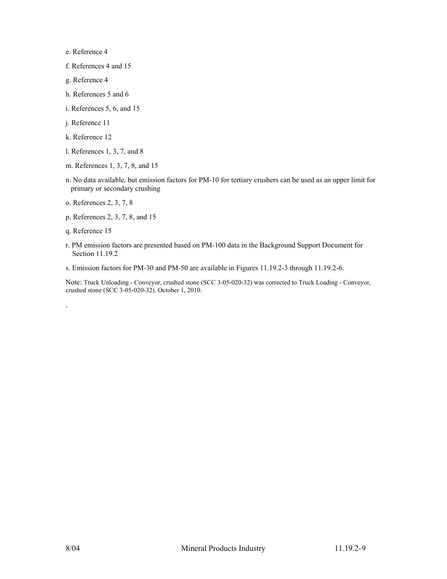e. Reference 4

f. References 4 and 15

- g. Reference 4
- h. References 5 and 6
- i. References 5, 6, and 15
- j. Reference 11
- k. Reference 12
- l. References 1, 3, 7, and 8
- m. References 1, 3, 7, 8, and 15
- n. No data available, but emission factors for PM-10 for tertiary crushers can be used as an upper limit for primary or secondary crushing
- o. References 2, 3, 7, 8
- p. References 2, 3, 7, 8, and 15
- q. Reference 15

.

- r. PM emission factors are presented based on PM-100 data in the Background Support Document for Section 11.19.2
- s. Emission factors for PM-30 and PM-50 are available in Figures 11.19.2-3 through 11.19.2-6.

Note: Truck Unloading - Conveyor, crushed stone (SCC 3-05-020-32) was corrected to Truck Loading - Conveyor, crushed stone (SCC 3-05-020-32). October 1, 2010.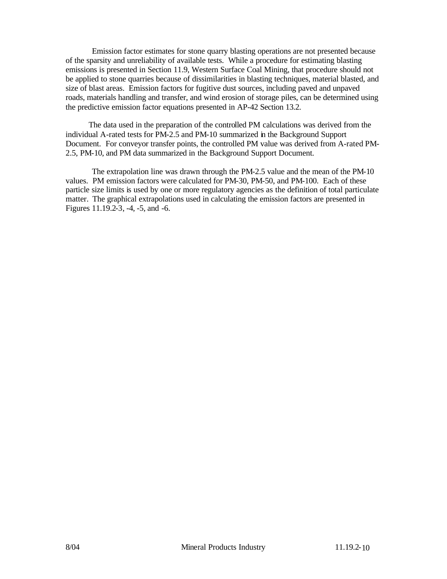Emission factor estimates for stone quarry blasting operations are not presented because of the sparsity and unreliability of available tests. While a procedure for estimating blasting emissions is presented in Section 11.9, Western Surface Coal Mining, that procedure should not be applied to stone quarries because of dissimilarities in blasting techniques, material blasted, and size of blast areas. Emission factors for fugitive dust sources, including paved and unpaved roads, materials handling and transfer, and wind erosion of storage piles, can be determined using the predictive emission factor equations presented in AP-42 Section 13.2.

The data used in the preparation of the controlled PM calculations was derived from the individual A-rated tests for PM-2.5 and PM-10 summarized in the Background Support Document. For conveyor transfer points, the controlled PM value was derived from A-rated PM-2.5, PM-10, and PM data summarized in the Background Support Document.

The extrapolation line was drawn through the PM-2.5 value and the mean of the PM-10 values. PM emission factors were calculated for PM-30, PM-50, and PM-100. Each of these particle size limits is used by one or more regulatory agencies as the definition of total particulate matter. The graphical extrapolations used in calculating the emission factors are presented in Figures 11.19.2-3, -4, -5, and -6.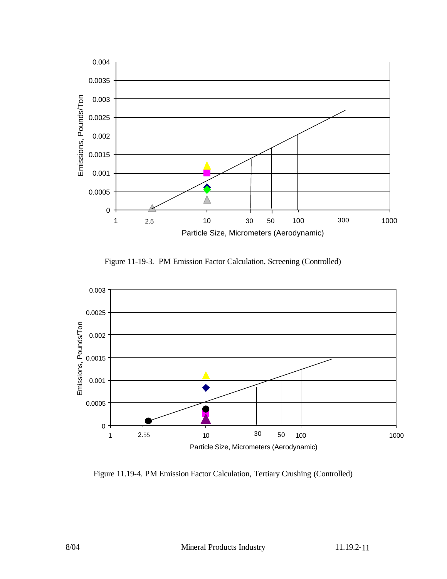

Figure 11-19-3. PM Emission Factor Calculation, Screening (Controlled)



Figure 11.19-4. PM Emission Factor Calculation, Tertiary Crushing (Controlled)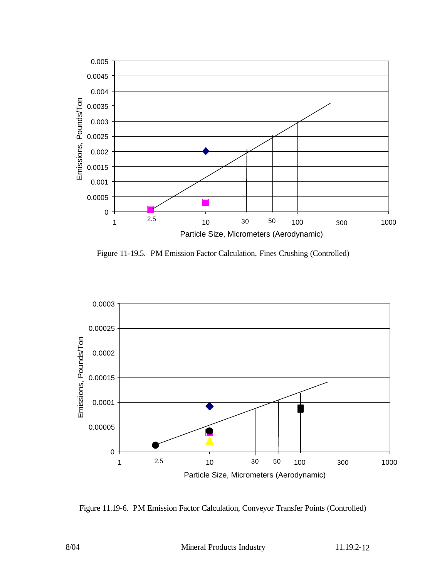

Figure 11-19.5. PM Emission Factor Calculation, Fines Crushing (Controlled)



Figure 11.19-6. PM Emission Factor Calculation, Conveyor Transfer Points (Controlled)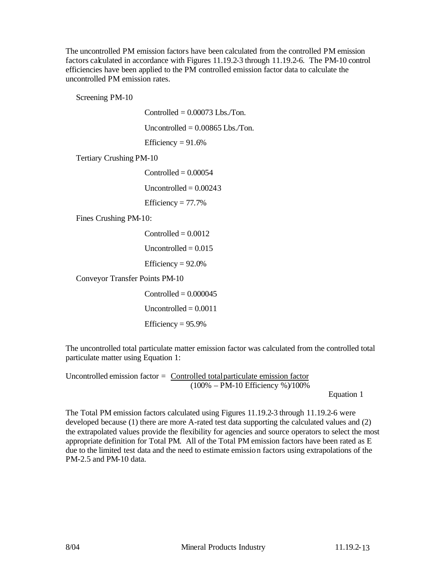The uncontrolled PM emission factors have been calculated from the controlled PM emission factors calculated in accordance with Figures 11.19.2-3 through 11.19.2-6. The PM-10 control efficiencies have been applied to the PM controlled emission factor data to calculate the uncontrolled PM emission rates.

Screening PM-10

Controlled  $= 0.00073$  Lbs./Ton.

Uncontrolled  $= 0.00865$  Lbs./Ton.

Efficiency  $= 91.6%$ 

Tertiary Crushing PM-10

 $Controlled = 0.00054$ Uncontrolled  $= 0.00243$ 

Efficiency  $= 77.7\%$ 

Fines Crushing PM-10:

 $Controlled = 0.0012$ 

Uncontrolled  $= 0.015$ 

Efficiency  $= 92.0\%$ 

Conveyor Transfer Points PM-10

 $Controlled = 0.000045$ Uncontrolled  $= 0.0011$ Efficiency  $= 95.9\%$ 

The uncontrolled total particulate matter emission factor was calculated from the controlled total particulate matter using Equation 1:

Uncontrolled emission factor = Controlled total particulate emission factor (100% – PM-10 Efficiency %)/100%

Equation 1

The Total PM emission factors calculated using Figures 11.19.2-3 through 11.19.2-6 were developed because (1) there are more A-rated test data supporting the calculated values and (2) the extrapolated values provide the flexibility for agencies and source operators to select the most appropriate definition for Total PM. All of the Total PM emission factors have been rated as E due to the limited test data and the need to estimate emission factors using extrapolations of the PM-2.5 and PM-10 data.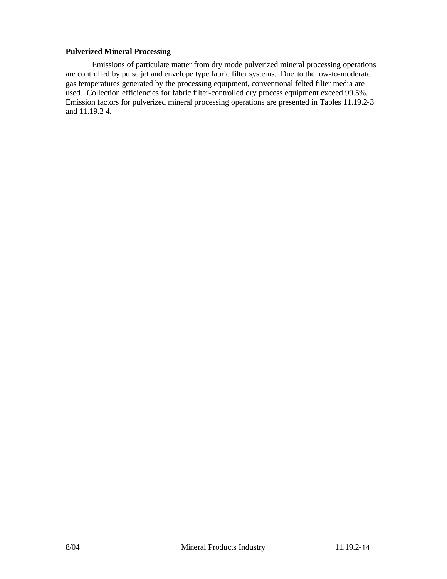#### **Pulverized Mineral Processing**

Emissions of particulate matter from dry mode pulverized mineral processing operations are controlled by pulse jet and envelope type fabric filter systems. Due to the low-to-moderate gas temperatures generated by the processing equipment, conventional felted filter media are used. Collection efficiencies for fabric filter-controlled dry process equipment exceed 99.5%. Emission factors for pulverized mineral processing operations are presented in Tables 11.19.2-3 and 11.19.2-4.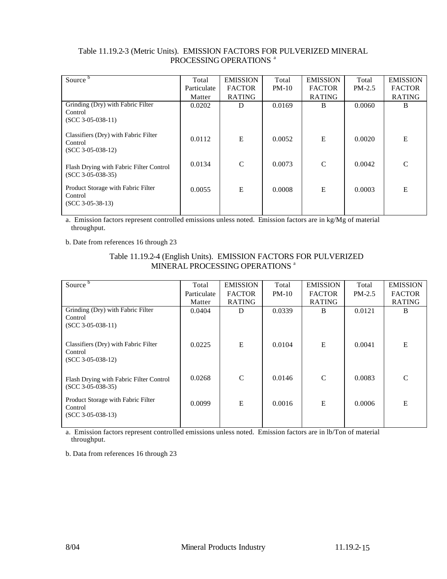| Source $\overline{b}$                                                  | Total       | <b>EMISSION</b> | Total   | <b>EMISSION</b> | Total    | <b>EMISSION</b> |
|------------------------------------------------------------------------|-------------|-----------------|---------|-----------------|----------|-----------------|
|                                                                        | Particulate | <b>FACTOR</b>   | $PM-10$ | <b>FACTOR</b>   | $PM-2.5$ | <b>FACTOR</b>   |
|                                                                        | Matter      | <b>RATING</b>   |         | <b>RATING</b>   |          | <b>RATING</b>   |
| Grinding (Dry) with Fabric Filter<br>Control<br>$(SCC 3-05-038-11)$    | 0.0202      | D               | 0.0169  | B               | 0.0060   | B               |
| Classifiers (Dry) with Fabric Filter<br>Control<br>$(SCC 3-05-038-12)$ | 0.0112      | E               | 0.0052  | $\bf E$         | 0.0020   | E               |
| Flash Drying with Fabric Filter Control<br>$(SCC 3-05-038-35)$         | 0.0134      | $\mathcal{C}$   | 0.0073  | $\mathcal{C}$   | 0.0042   | $\mathcal{C}$   |
| Product Storage with Fabric Filter<br>Control<br>$(SCC 3-05-38-13)$    | 0.0055      | E               | 0.0008  | E               | 0.0003   | E               |

## Table 11.19.2-3 (Metric Units). EMISSION FACTORS FOR PULVERIZED MINERAL PROCESSING OPERATIONS<sup>a</sup>

a. Emission factors represent controlled emissions unless noted. Emission factors are in kg/Mg of material throughput.

b. Date from references 16 through 23

# Table 11.19.2-4 (English Units). EMISSION FACTORS FOR PULVERIZED MINERAL PROCESSING OPERATIONS<sup>a</sup>

| Source <sup>b</sup>                                                    | Total       | <b>EMISSION</b> | Total   | <b>EMISSION</b> | Total    | <b>EMISSION</b> |
|------------------------------------------------------------------------|-------------|-----------------|---------|-----------------|----------|-----------------|
|                                                                        | Particulate | <b>FACTOR</b>   | $PM-10$ | <b>FACTOR</b>   | $PM-2.5$ | <b>FACTOR</b>   |
|                                                                        | Matter      | <b>RATING</b>   |         | <b>RATING</b>   |          | <b>RATING</b>   |
| Grinding (Dry) with Fabric Filter<br>Control<br>$(SCC 3-05-038-11)$    | 0.0404      | D               | 0.0339  | B               | 0.0121   | B               |
| Classifiers (Dry) with Fabric Filter<br>Control<br>$(SCC 3-05-038-12)$ | 0.0225      | E               | 0.0104  | E               | 0.0041   | E               |
| Flash Drying with Fabric Filter Control<br>$(SCC 3-05-038-35)$         | 0.0268      | $\mathcal{C}$   | 0.0146  | $\mathcal{C}$   | 0.0083   | $\mathcal{C}$   |
| Product Storage with Fabric Filter<br>Control<br>$(SCC 3-05-038-13)$   | 0.0099      | E               | 0.0016  | $\mathbf E$     | 0.0006   | E               |
|                                                                        |             |                 |         |                 |          |                 |

a. Emission factors represent controlled emissions unless noted. Emission factors are in lb/Ton of material throughput.

b. Data from references 16 through 23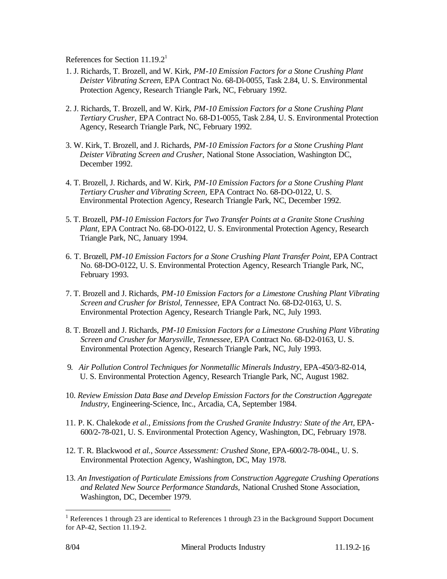References for Section  $11.19.2<sup>1</sup>$ 

- 1. J. Richards, T. Brozell, and W. Kirk, *PM-10 Emission Factors for a Stone Crushing Plant Deister Vibrating Screen,* EPA Contract No. 68-Dl-0055, Task 2.84, U. S. Environmental Protection Agency, Research Triangle Park, NC, February 1992.
- 2. J. Richards, T. Brozell, and W. Kirk, *PM-10 Emission Factors for a Stone Crushing Plant Tertiary Crusher,* EPA Contract No. 68-D1-0055, Task 2.84, U. S. Environmental Protection Agency, Research Triangle Park, NC, February 1992.
- 3. W. Kirk, T. Brozell, and J. Richards, *PM-10 Emission Factors for a Stone Crushing Plant Deister Vibrating Screen and Crusher,* National Stone Association, Washington DC, December 1992.
- 4. T. Brozell, J. Richards, and W. Kirk, *PM-10 Emission Factors for a Stone Crushing Plant Tertiary Crusher and Vibrating Screen,* EPA Contract No. 68-DO-0122, U. S. Environmental Protection Agency, Research Triangle Park, NC, December 1992.
- 5. T. Brozell, *PM-10 Emission Factors for Two Transfer Points at a Granite Stone Crushing Plant,* EPA Contract No. 68-DO-0122, U. S. Environmental Protection Agency, Research Triangle Park, NC, January 1994.
- 6. T. Brozell, *PM-10 Emission Factors for a Stone Crushing Plant Transfer Point,* EPA Contract No. 68-DO-0122, U. S. Environmental Protection Agency, Research Triangle Park, NC, February 1993.
- 7. T. Brozell and J. Richards, *PM-10 Emission Factors for a Limestone Crushing Plant Vibrating Screen and Crusher for Bristol, Tennessee,* EPA Contract No. 68-D2-0163, U. S. Environmental Protection Agency, Research Triangle Park, NC, July 1993.
- 8. T. Brozell and J. Richards, *PM-10 Emission Factors for a Limestone Crushing Plant Vibrating Screen and Crusher for Marysville, Tennessee,* EPA Contract No. 68-D2-0163, U. S. Environmental Protection Agency, Research Triangle Park, NC, July 1993.
- 9*. Air Pollution Control Techniques for Nonmetallic Minerals Industry,* EPA-450/3-82-014, U. S. Environmental Protection Agency, Research Triangle Park, NC, August 1982.
- 10. *Review Emission Data Base and Develop Emission Factors for the Construction Aggregate Industry,* Engineering-Science, Inc., Arcadia, CA, September 1984.
- 11. P. K. Chalekode *et al., Emissions from the Crushed Granite Industry: State of the Art,* EPA-600/2-78-021, U. S. Environmental Protection Agency, Washington, DC, February 1978.
- 12. T. R. Blackwood *et al., Source Assessment: Crushed Stone,* EPA-600/2-78-004L, U. S. Environmental Protection Agency, Washington, DC, May 1978.
- 13. *An Investigation of Particulate Emissions from Construction Aggregate Crushing Operations and Related New Source Performance Standards,* National Crushed Stone Association, Washington, DC, December 1979.

l

<sup>&</sup>lt;sup>1</sup> References 1 through 23 are identical to References 1 through 23 in the Background Support Document for AP-42, Section 11.19-2.